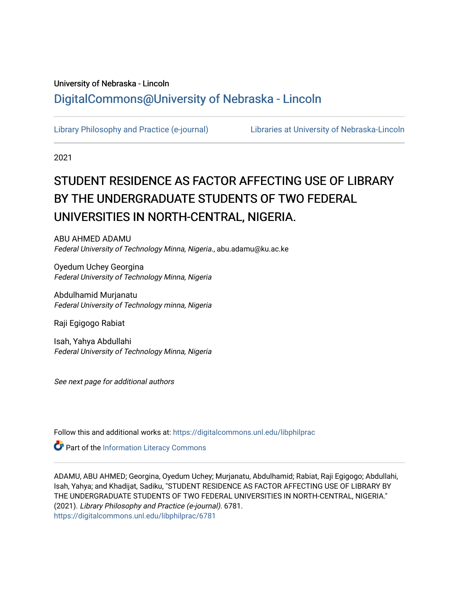# University of Nebraska - Lincoln [DigitalCommons@University of Nebraska - Lincoln](https://digitalcommons.unl.edu/)

[Library Philosophy and Practice \(e-journal\)](https://digitalcommons.unl.edu/libphilprac) [Libraries at University of Nebraska-Lincoln](https://digitalcommons.unl.edu/libraries) 

2021

# STUDENT RESIDENCE AS FACTOR AFFECTING USE OF LIBRARY BY THE UNDERGRADUATE STUDENTS OF TWO FEDERAL UNIVERSITIES IN NORTH-CENTRAL, NIGERIA.

ABU AHMED ADAMU Federal University of Technology Minna, Nigeria., abu.adamu@ku.ac.ke

Oyedum Uchey Georgina Federal University of Technology Minna, Nigeria

Abdulhamid Murjanatu Federal University of Technology minna, Nigeria

Raji Egigogo Rabiat

Isah, Yahya Abdullahi Federal University of Technology Minna, Nigeria

See next page for additional authors

Follow this and additional works at: [https://digitalcommons.unl.edu/libphilprac](https://digitalcommons.unl.edu/libphilprac?utm_source=digitalcommons.unl.edu%2Flibphilprac%2F6781&utm_medium=PDF&utm_campaign=PDFCoverPages) 

Part of the [Information Literacy Commons](http://network.bepress.com/hgg/discipline/1243?utm_source=digitalcommons.unl.edu%2Flibphilprac%2F6781&utm_medium=PDF&utm_campaign=PDFCoverPages)

ADAMU, ABU AHMED; Georgina, Oyedum Uchey; Murjanatu, Abdulhamid; Rabiat, Raji Egigogo; Abdullahi, Isah, Yahya; and Khadijat, Sadiku, "STUDENT RESIDENCE AS FACTOR AFFECTING USE OF LIBRARY BY THE UNDERGRADUATE STUDENTS OF TWO FEDERAL UNIVERSITIES IN NORTH-CENTRAL, NIGERIA." (2021). Library Philosophy and Practice (e-journal). 6781. [https://digitalcommons.unl.edu/libphilprac/6781](https://digitalcommons.unl.edu/libphilprac/6781?utm_source=digitalcommons.unl.edu%2Flibphilprac%2F6781&utm_medium=PDF&utm_campaign=PDFCoverPages)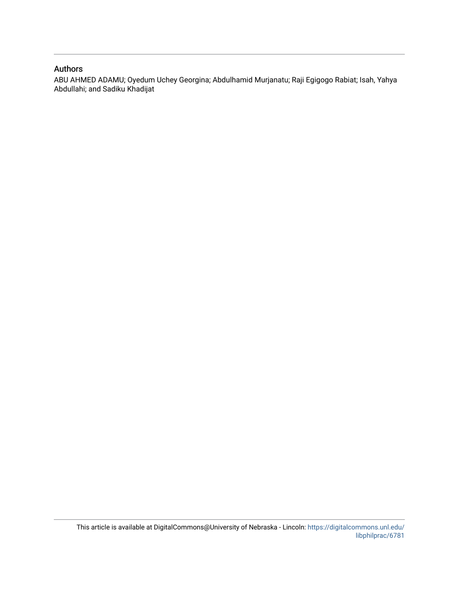## Authors

ABU AHMED ADAMU; Oyedum Uchey Georgina; Abdulhamid Murjanatu; Raji Egigogo Rabiat; Isah, Yahya Abdullahi; and Sadiku Khadijat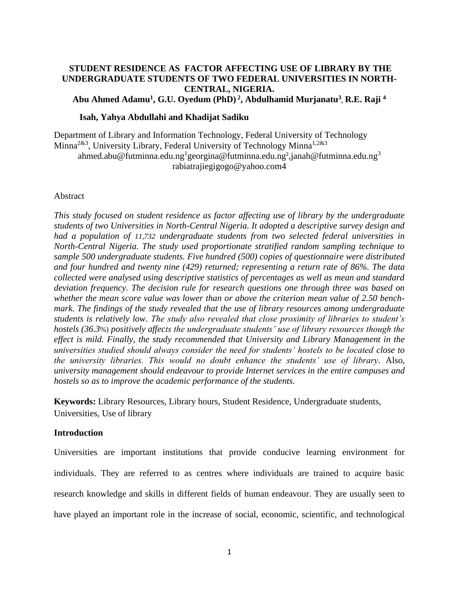# **STUDENT RESIDENCE AS FACTOR AFFECTING USE OF LIBRARY BY THE UNDERGRADUATE STUDENTS OF TWO FEDERAL UNIVERSITIES IN NORTH-CENTRAL, NIGERIA.**

**Abu Ahmed Adamu<sup>1</sup> , G.U. Oyedum (PhD) <sup>2</sup> , Abdulhamid Murjanatu<sup>3</sup> , R.E. Raji <sup>4</sup>**

#### **Isah, Yahya Abdullahi and Khadijat Sadiku**

Department of Library and Information Technology, Federal University of Technology Minna<sup>2&3</sup>, University Library, Federal University of Technology Minna<sup>1,2&3</sup> [ahmed.abu@futminna.edu.ng](mailto:ahmed.abu@futminna.edu.ng)<sup>1</sup>[georgina@futminna.edu.ng](mailto:georgina@futminna.edu.ng)<sup>2</sup>,janah@futminna.edu.ng<sup>3</sup> rabiatrajiegigogo@yahoo.com4

#### Abstract

*This study focused on student residence as factor affecting use of library by the undergraduate students of two Universities in North-Central Nigeria. It adopted a descriptive survey design and had a population of 11,732 undergraduate students from two selected federal universities in North-Central Nigeria. The study used proportionate stratified random sampling technique to sample 500 undergraduate students. Five hundred (500) copies of questionnaire were distributed and four hundred and twenty nine (429) returned; representing a return rate of 86%. The data collected were analysed using descriptive statistics of percentages as well as mean and standard deviation frequency. The decision rule for research questions one through three was based on whether the mean score value was lower than or above the criterion mean value of 2.50 benchmark. The findings of the study revealed that the use of library resources among undergraduate students is relatively low. The study also revealed that close proximity of libraries to student's hostels (36.3*%) *positively affects the undergraduate students' use of library resources though the effect is mild. Finally, the study recommended that University and Library Management in the universities studied should always consider the need for students' hostels to be located close to the university libraries. This would no doubt enhance the students' use of library.* Also, *university management should endeavour to provide Internet services in the entire campuses and hostels so as to improve the academic performance of the students.*

**Keywords:** Library Resources, Library hours, Student Residence, Undergraduate students, Universities, Use of library

## **Introduction**

Universities are important institutions that provide conducive learning environment for individuals. They are referred to as centres where individuals are trained to acquire basic research knowledge and skills in different fields of human endeavour. They are usually seen to have played an important role in the increase of social, economic, scientific, and technological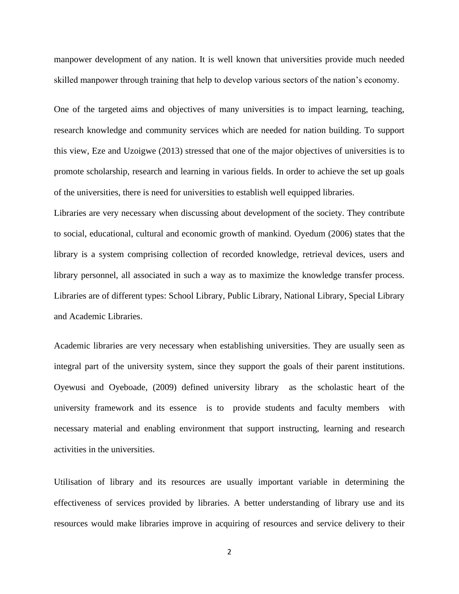manpower development of any nation. It is well known that universities provide much needed skilled manpower through training that help to develop various sectors of the nation's economy.

One of the targeted aims and objectives of many universities is to impact learning, teaching, research knowledge and community services which are needed for nation building. To support this view, Eze and Uzoigwe (2013) stressed that one of the major objectives of universities is to promote scholarship, research and learning in various fields. In order to achieve the set up goals of the universities, there is need for universities to establish well equipped libraries.

Libraries are very necessary when discussing about development of the society. They contribute to social, educational, cultural and economic growth of mankind. Oyedum (2006) states that the library is a system comprising collection of recorded knowledge, retrieval devices, users and library personnel, all associated in such a way as to maximize the knowledge transfer process. Libraries are of different types: School Library, Public Library, National Library, Special Library and Academic Libraries.

Academic libraries are very necessary when establishing universities. They are usually seen as integral part of the university system, since they support the goals of their parent institutions. Oyewusi and Oyeboade, (2009) defined university library as the scholastic heart of the university framework and its essence is to provide students and faculty members with necessary material and enabling environment that support instructing, learning and research activities in the universities.

Utilisation of library and its resources are usually important variable in determining the effectiveness of services provided by libraries. A better understanding of library use and its resources would make libraries improve in acquiring of resources and service delivery to their

2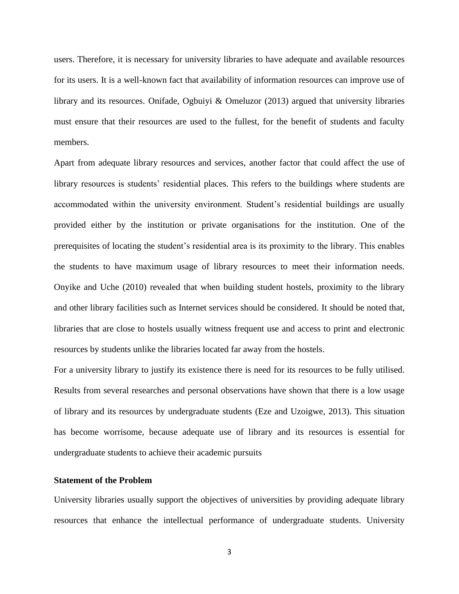users. Therefore, it is necessary for university libraries to have adequate and available resources for its users. It is a well-known fact that availability of information resources can improve use of library and its resources. Onifade, Ogbuiyi & Omeluzor (2013) argued that university libraries must ensure that their resources are used to the fullest, for the benefit of students and faculty members.

Apart from adequate library resources and services, another factor that could affect the use of library resources is students' residential places. This refers to the buildings where students are accommodated within the university environment. Student's residential buildings are usually provided either by the institution or private organisations for the institution. One of the prerequisites of locating the student's residential area is its proximity to the library. This enables the students to have maximum usage of library resources to meet their information needs. Onyike and Uche (2010) revealed that when building student hostels, proximity to the library and other library facilities such as Internet services should be considered. It should be noted that, libraries that are close to hostels usually witness frequent use and access to print and electronic resources by students unlike the libraries located far away from the hostels.

For a university library to justify its existence there is need for its resources to be fully utilised. Results from several researches and personal observations have shown that there is a low usage of library and its resources by undergraduate students (Eze and Uzoigwe, 2013). This situation has become worrisome, because adequate use of library and its resources is essential for undergraduate students to achieve their academic pursuits

# **Statement of the Problem**

University libraries usually support the objectives of universities by providing adequate library resources that enhance the intellectual performance of undergraduate students. University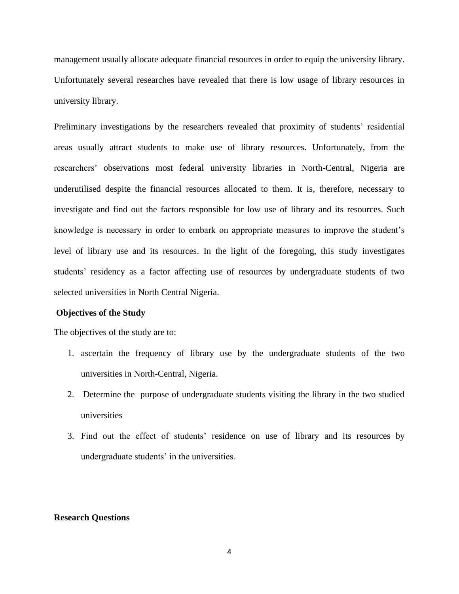management usually allocate adequate financial resources in order to equip the university library. Unfortunately several researches have revealed that there is low usage of library resources in university library.

Preliminary investigations by the researchers revealed that proximity of students' residential areas usually attract students to make use of library resources. Unfortunately, from the researchers' observations most federal university libraries in North-Central, Nigeria are underutilised despite the financial resources allocated to them. It is, therefore, necessary to investigate and find out the factors responsible for low use of library and its resources. Such knowledge is necessary in order to embark on appropriate measures to improve the student's level of library use and its resources. In the light of the foregoing, this study investigates students' residency as a factor affecting use of resources by undergraduate students of two selected universities in North Central Nigeria.

#### **Objectives of the Study**

The objectives of the study are to:

- 1. ascertain the frequency of library use by the undergraduate students of the two universities in North-Central, Nigeria.
- 2. Determine the purpose of undergraduate students visiting the library in the two studied universities
- 3. Find out the effect of students' residence on use of library and its resources by undergraduate students' in the universities.

#### **Research Questions**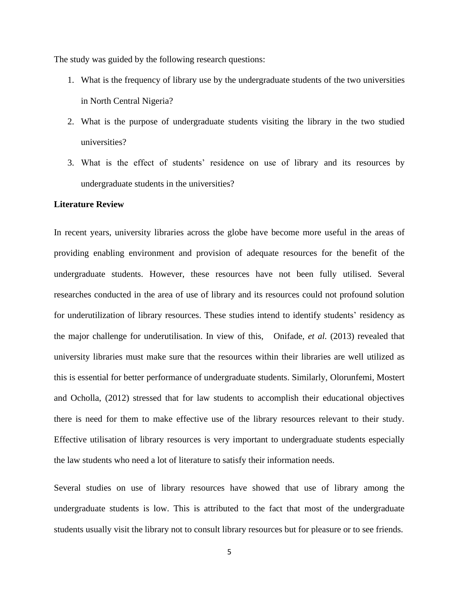The study was guided by the following research questions:

- 1. What is the frequency of library use by the undergraduate students of the two universities in North Central Nigeria?
- 2. What is the purpose of undergraduate students visiting the library in the two studied universities?
- 3. What is the effect of students' residence on use of library and its resources by undergraduate students in the universities?

#### **Literature Review**

In recent years, university libraries across the globe have become more useful in the areas of providing enabling environment and provision of adequate resources for the benefit of the undergraduate students. However, these resources have not been fully utilised. Several researches conducted in the area of use of library and its resources could not profound solution for underutilization of library resources. These studies intend to identify students' residency as the major challenge for underutilisation. In view of this, Onifade, *et al.* (2013) revealed that university libraries must make sure that the resources within their libraries are well utilized as this is essential for better performance of undergraduate students. Similarly, Olorunfemi, Mostert and Ocholla, (2012) stressed that for law students to accomplish their educational objectives there is need for them to make effective use of the library resources relevant to their study. Effective utilisation of library resources is very important to undergraduate students especially the law students who need a lot of literature to satisfy their information needs.

Several studies on use of library resources have showed that use of library among the undergraduate students is low. This is attributed to the fact that most of the undergraduate students usually visit the library not to consult library resources but for pleasure or to see friends.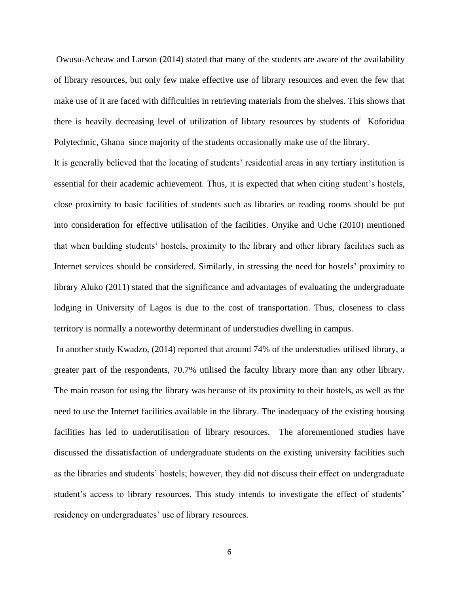Owusu-Acheaw and Larson (2014) stated that many of the students are aware of the availability of library resources, but only few make effective use of library resources and even the few that make use of it are faced with difficulties in retrieving materials from the shelves. This shows that there is heavily decreasing level of utilization of library resources by students of Koforidua Polytechnic, Ghana since majority of the students occasionally make use of the library.

It is generally believed that the locating of students' residential areas in any tertiary institution is essential for their academic achievement. Thus, it is expected that when citing student's hostels, close proximity to basic facilities of students such as libraries or reading rooms should be put into consideration for effective utilisation of the facilities. Onyike and Uche (2010) mentioned that when building students' hostels, proximity to the library and other library facilities such as Internet services should be considered. Similarly, in stressing the need for hostels' proximity to library Aluko (2011) stated that the significance and advantages of evaluating the undergraduate lodging in University of Lagos is due to the cost of transportation. Thus, closeness to class territory is normally a noteworthy determinant of understudies dwelling in campus.

In another study Kwadzo, (2014) reported that around 74% of the understudies utilised library, a greater part of the respondents, 70.7% utilised the faculty library more than any other library. The main reason for using the library was because of its proximity to their hostels, as well as the need to use the Internet facilities available in the library. The inadequacy of the existing housing facilities has led to underutilisation of library resources. The aforementioned studies have discussed the dissatisfaction of undergraduate students on the existing university facilities such as the libraries and students' hostels; however, they did not discuss their effect on undergraduate student's access to library resources. This study intends to investigate the effect of students' residency on undergraduates' use of library resources.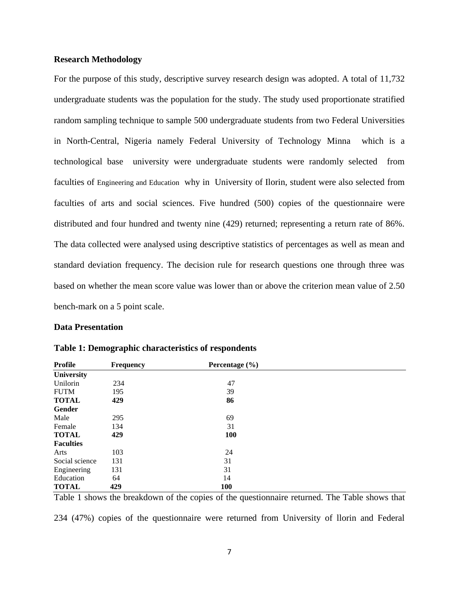#### **Research Methodology**

For the purpose of this study, descriptive survey research design was adopted. A total of 11,732 undergraduate students was the population for the study. The study used proportionate stratified random sampling technique to sample 500 undergraduate students from two Federal Universities in North-Central, Nigeria namely Federal University of Technology Minna which is a technological base university were undergraduate students were randomly selected from faculties of Engineering and Education why in University of Ilorin, student were also selected from faculties of arts and social sciences. Five hundred (500) copies of the questionnaire were distributed and four hundred and twenty nine (429) returned; representing a return rate of 86%. The data collected were analysed using descriptive statistics of percentages as well as mean and standard deviation frequency. The decision rule for research questions one through three was based on whether the mean score value was lower than or above the criterion mean value of 2.50 bench-mark on a 5 point scale.

#### **Data Presentation**

| <b>Profile</b>    | <b>Frequency</b> | Percentage $(\% )$ |  |
|-------------------|------------------|--------------------|--|
| <b>University</b> |                  |                    |  |
| Unilorin          | 234              | 47                 |  |
| <b>FUTM</b>       | 195              | 39                 |  |
| <b>TOTAL</b>      | 429              | 86                 |  |
| Gender            |                  |                    |  |
| Male              | 295              | 69                 |  |
| Female            | 134              | 31                 |  |
| <b>TOTAL</b>      | 429              | 100                |  |
| <b>Faculties</b>  |                  |                    |  |
| Arts              | 103              | 24                 |  |
| Social science    | 131              | 31                 |  |
| Engineering       | 131              | 31                 |  |
| Education         | 64               | 14                 |  |
| <b>TOTAL</b>      | 429              | <b>100</b>         |  |

|  |  |  | Table 1: Demographic characteristics of respondents |
|--|--|--|-----------------------------------------------------|
|  |  |  |                                                     |

Table 1 shows the breakdown of the copies of the questionnaire returned. The Table shows that 234 (47%) copies of the questionnaire were returned from University of llorin and Federal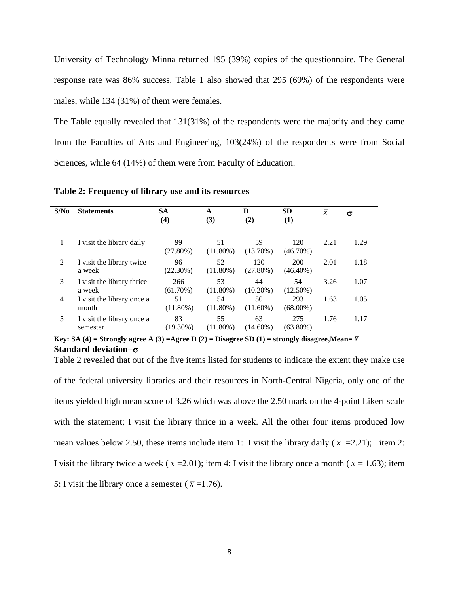University of Technology Minna returned 195 (39%) copies of the questionnaire. The General response rate was 86% success. Table 1 also showed that 295 (69%) of the respondents were males, while 134 (31%) of them were females.

The Table equally revealed that 131(31%) of the respondents were the majority and they came from the Faculties of Arts and Engineering, 103(24%) of the respondents were from Social Sciences, while 64 (14%) of them were from Faculty of Education.

| S/N <sub>0</sub> | <b>Statements</b>                      | <b>SA</b><br>(4)  | A<br>(3)          | D<br>(2)           | <b>SD</b><br>$\bf(1)$ | $\overline{x}$ | $\sigma$ |
|------------------|----------------------------------------|-------------------|-------------------|--------------------|-----------------------|----------------|----------|
| 1                | I visit the library daily              | 99<br>$(27.80\%)$ | 51<br>$(11.80\%)$ | 59<br>$(13.70\%)$  | 120<br>$(46.70\%)$    | 2.21           | 1.29     |
| 2                | I visit the library twice<br>a week    | 96<br>$(22.30\%)$ | 52<br>$(11.80\%)$ | 120<br>$(27.80\%)$ | 200<br>$(46.40\%)$    | 2.01           | 1.18     |
| 3                | I visit the library thrice<br>a week   | 266<br>(61.70%)   | 53<br>$(11.80\%)$ | 44<br>$(10.20\%)$  | 54<br>$(12.50\%)$     | 3.26           | 1.07     |
| 4                | I visit the library once a<br>month    | 51<br>$(11.80\%)$ | 54<br>$(11.80\%)$ | 50<br>$(11.60\%)$  | 293<br>$(68.00\%)$    | 1.63           | 1.05     |
| 5                | I visit the library once a<br>semester | 83<br>$(19.30\%)$ | 55<br>$(11.80\%)$ | 63<br>$(14.60\%)$  | 275<br>$(63.80\%)$    | 1.76           | 1.17     |

**Table 2: Frequency of library use and its resources**

**Key: SA** (4) = Strongly agree A (3) = Agree D (2) = Disagree SD (1) = strongly disagree, Mean=  $\overline{x}$ **Standard deviation=**

Table 2 revealed that out of the five items listed for students to indicate the extent they make use of the federal university libraries and their resources in North-Central Nigeria, only one of the items yielded high mean score of 3.26 which was above the 2.50 mark on the 4-point Likert scale with the statement; I visit the library thrice in a week. All the other four items produced low mean values below 2.50, these items include item 1: I visit the library daily ( $\bar{x}$  =2.21); item 2: I visit the library twice a week ( $\bar{x}$  = 2.01); item 4: I visit the library once a month ( $\bar{x}$  = 1.63); item 5: I visit the library once a semester ( $\bar{x}$  =1.76).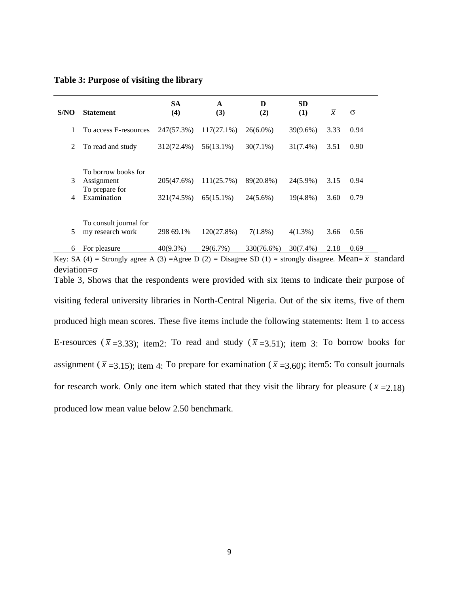|  | Table 3: Purpose of visiting the library |
|--|------------------------------------------|
|  |                                          |

|      |                        | <b>SA</b>   | A             | D           | <b>SD</b>   |                |          |
|------|------------------------|-------------|---------------|-------------|-------------|----------------|----------|
| S/NO | <b>Statement</b>       | (4)         | (3)           | (2)         | (1)         | $\overline{x}$ | $\sigma$ |
|      | To access E-resources  | 247(57.3%)  | $117(27.1\%)$ | $26(6.0\%)$ | $39(9.6\%)$ | 3.33           | 0.94     |
| 2    | To read and study      | 312(72.4%)  | 56(13.1%)     | $30(7.1\%)$ | $31(7.4\%)$ | 3.51           | 0.90     |
|      |                        |             |               |             |             |                |          |
|      | To borrow books for    |             |               |             |             |                |          |
| 3    | Assignment             | 205(47.6%)  | 111(25.7%)    | 89(20.8%)   | 24(5.9%)    | 3.15           | 0.94     |
|      | To prepare for         |             |               |             |             |                |          |
| 4    | Examination            | 321(74.5%)  | $65(15.1\%)$  | $24(5.6\%)$ | $19(4.8\%)$ | 3.60           | 0.79     |
|      |                        |             |               |             |             |                |          |
|      | To consult journal for |             |               |             |             |                |          |
| 5    | my research work       | 298 69.1%   | 120(27.8%)    | $7(1.8\%)$  | $4(1.3\%)$  | 3.66           | 0.56     |
| 6    | For pleasure           | $40(9.3\%)$ | 29(6.7%)      | 330(76.6%)  | 30(7.4%)    | 2.18           | 0.69     |

Key: SA (4) = Strongly agree A (3) = Agree D (2) = Disagree SD (1) = strongly disagree. Mean=  $\bar{x}$  standard deviation= $\sigma$ 

Table 3, Shows that the respondents were provided with six items to indicate their purpose of visiting federal university libraries in North-Central Nigeria. Out of the six items, five of them produced high mean scores. These five items include the following statements: Item 1 to access E-resources ( $\bar{x}$  =3.33); item2: To read and study ( $\bar{x}$  =3.51); item 3: To borrow books for assignment ( $\bar{x}$  =3.15); item 4: To prepare for examination ( $\bar{x}$  =3.60); item5: To consult journals for research work. Only one item which stated that they visit the library for pleasure ( $\bar{x}$  = 2.18) produced low mean value below 2.50 benchmark.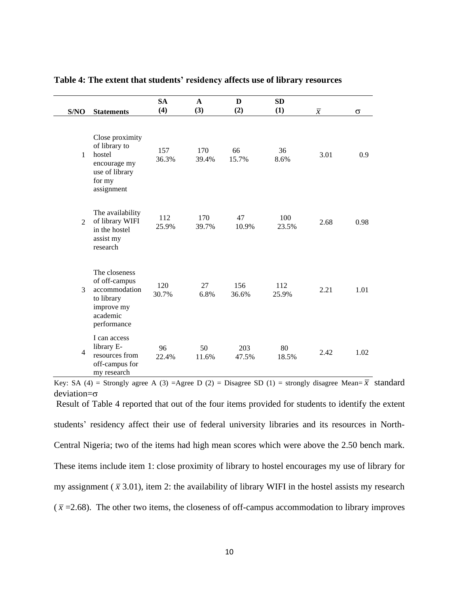| S/NO           | <b>Statements</b>                                                                                      | <b>SA</b><br>(4) | $\mathbf{A}$<br>(3) | D<br>(2)     | <b>SD</b><br>(1) | $\overline{x}$ | $\sigma$ |
|----------------|--------------------------------------------------------------------------------------------------------|------------------|---------------------|--------------|------------------|----------------|----------|
| 1              | Close proximity<br>of library to<br>hostel<br>encourage my<br>use of library<br>for my<br>assignment   | 157<br>36.3%     | 170<br>39.4%        | 66<br>15.7%  | 36<br>8.6%       | 3.01           | 0.9      |
| $\mathfrak{D}$ | The availability<br>of library WIFI<br>in the hostel<br>assist my<br>research                          | 112<br>25.9%     | 170<br>39.7%        | 47<br>10.9%  | 100<br>23.5%     | 2.68           | 0.98     |
| 3              | The closeness<br>of off-campus<br>accommodation<br>to library<br>improve my<br>academic<br>performance | 120<br>30.7%     | 27<br>6.8%          | 156<br>36.6% | 112<br>25.9%     | 2.21           | 1.01     |
| $\overline{4}$ | I can access<br>library E-<br>resources from<br>off-campus for<br>my research                          | 96<br>22.4%      | 50<br>11.6%         | 203<br>47.5% | 80<br>18.5%      | 2.42           | 1.02     |

#### **Table 4: The extent that students' residency affects use of library resources**

Key: SA (4) = Strongly agree A (3) = Agree D (2) = Disagree SD (1) = strongly disagree Mean=  $\bar{x}$  standard deviation= $\sigma$ 

Result of Table 4 reported that out of the four items provided for students to identify the extent students' residency affect their use of federal university libraries and its resources in North-Central Nigeria; two of the items had high mean scores which were above the 2.50 bench mark. These items include item 1: close proximity of library to hostel encourages my use of library for my assignment  $(\bar{x}$  3.01), item 2: the availability of library WIFI in the hostel assists my research  $(\bar{x} = 2.68)$ . The other two items, the closeness of off-campus accommodation to library improves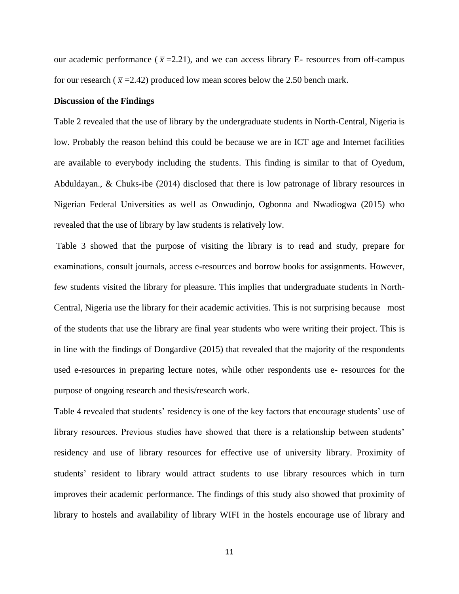our academic performance ( $\bar{x}$  =2.21), and we can access library E- resources from off-campus for our research ( $\bar{x}$  =2.42) produced low mean scores below the 2.50 bench mark.

#### **Discussion of the Findings**

Table 2 revealed that the use of library by the undergraduate students in North-Central, Nigeria is low. Probably the reason behind this could be because we are in ICT age and Internet facilities are available to everybody including the students. This finding is similar to that of Oyedum, Abduldayan., & Chuks-ibe (2014) disclosed that there is low patronage of library resources in Nigerian Federal Universities as well as Onwudinjo, Ogbonna and Nwadiogwa (2015) who revealed that the use of library by law students is relatively low.

Table 3 showed that the purpose of visiting the library is to read and study, prepare for examinations, consult journals, access e-resources and borrow books for assignments. However, few students visited the library for pleasure. This implies that undergraduate students in North-Central, Nigeria use the library for their academic activities. This is not surprising because most of the students that use the library are final year students who were writing their project. This is in line with the findings of Dongardive (2015) that revealed that the majority of the respondents used e-resources in preparing lecture notes, while other respondents use e- resources for the purpose of ongoing research and thesis/research work.

Table 4 revealed that students' residency is one of the key factors that encourage students' use of library resources. Previous studies have showed that there is a relationship between students' residency and use of library resources for effective use of university library. Proximity of students' resident to library would attract students to use library resources which in turn improves their academic performance. The findings of this study also showed that proximity of library to hostels and availability of library WIFI in the hostels encourage use of library and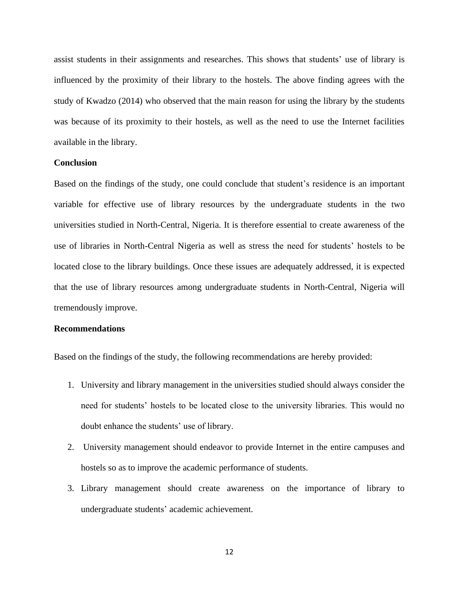assist students in their assignments and researches. This shows that students' use of library is influenced by the proximity of their library to the hostels. The above finding agrees with the study of Kwadzo (2014) who observed that the main reason for using the library by the students was because of its proximity to their hostels, as well as the need to use the Internet facilities available in the library.

#### **Conclusion**

Based on the findings of the study, one could conclude that student's residence is an important variable for effective use of library resources by the undergraduate students in the two universities studied in North-Central, Nigeria. It is therefore essential to create awareness of the use of libraries in North-Central Nigeria as well as stress the need for students' hostels to be located close to the library buildings. Once these issues are adequately addressed, it is expected that the use of library resources among undergraduate students in North-Central, Nigeria will tremendously improve.

#### **Recommendations**

Based on the findings of the study, the following recommendations are hereby provided:

- 1. University and library management in the universities studied should always consider the need for students' hostels to be located close to the university libraries. This would no doubt enhance the students' use of library.
- 2. University management should endeavor to provide Internet in the entire campuses and hostels so as to improve the academic performance of students.
- 3. Library management should create awareness on the importance of library to undergraduate students' academic achievement.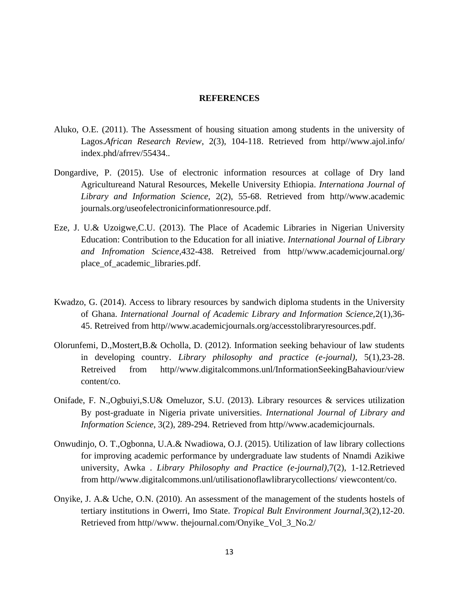#### **REFERENCES**

- Aluko, O.E. (2011). The Assessment of housing situation among students in the university of Lagos.*African Research Review*, 2(3), 104-118. Retrieved from http//www.ajol.info/ index.phd/afrrev/55434..
- Dongardive, P. (2015). Use of electronic information resources at collage of Dry land Agricultureand Natural Resources, Mekelle University Ethiopia. *Internationa Journal of Library and Information Science*, 2(2), 55-68. Retrieved from http//www.academic journals.org/useofelectronicinformationresource.pdf.
- Eze, J. U.& Uzoigwe,C.U. (2013). The Place of Academic Libraries in Nigerian University Education: Contribution to the Education for all iniative. *International Journal of Library and Infromation Science*,432-438. Retreived from http//www.academicjournal.org/ place\_of\_academic\_libraries.pdf.
- Kwadzo, G. (2014). Access to library resources by sandwich diploma students in the University of Ghana. *International Journal of Academic Library and Information Science,*2(1),36- 45. Retreived from http//www.academicjournals.org/accesstolibraryresources.pdf.
- Olorunfemi, D.,Mostert,B.& Ocholla, D. (2012). Information seeking behaviour of law students in developing country. *Library philosophy and practice (e-journal),* 5(1),23-28. Retreived from http//www.digitalcommons.unl/InformationSeekingBahaviour/view content/co.
- Onifade, F. N.,Ogbuiyi,S.U& Omeluzor, S.U. (2013). Library resources & services utilization By post-graduate in Nigeria private universities. *International Journal of Library and Information Science*, 3(2), 289-294. Retrieved from http//www.academicjournals.
- Onwudinjo, O. T.,Ogbonna, U.A.& Nwadiowa, O.J. (2015). Utilization of law library collections for improving academic performance by undergraduate law students of Nnamdi Azikiwe university, Awka . *Library Philosophy and Practice (e-journal),*7(2), 1-12.Retrieved from http//www.digitalcommons.unl/utilisationoflawlibrarycollections/ viewcontent/co.
- Onyike, J. A.& Uche, O.N. (2010). An assessment of the management of the students hostels of tertiary institutions in Owerri, Imo State. *Tropical Bult Environment Journal,*3(2),12-20. Retrieved from http//www. thejournal.com/Onyike\_Vol\_3\_No.2/